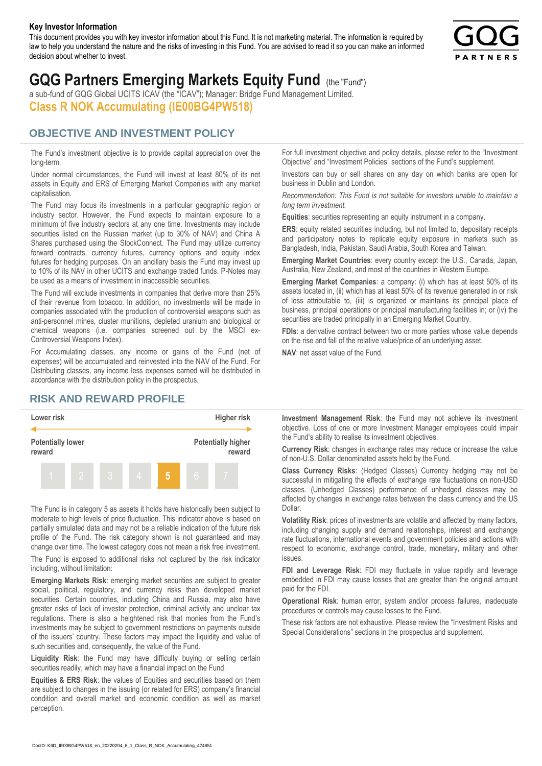#### **Key Investor Information**

This document provides you with key investor information about this Fund. It is not marketing material. The information is required by law to help you understand the nature and the risks of investing in this Fund. You are advised to read it so you can make an informed decision about whether to invest.



# **GQG Partners Emerging Markets Equity Fund** (the "Fund")

a sub-fund of GQG Global UCITS ICAV (the "ICAV"); Manager: Bridge Fund Management Limited. **Class R NOK Accumulating (IE00BG4PW518)**

#### **OBJECTIVE AND INVESTMENT POLICY**

The Fund's investment objective is to provide capital appreciation over the long-term.

Under normal circumstances, the Fund will invest at least 80% of its net assets in Equity and ERS of Emerging Market Companies with any market capitalisation.

The Fund may focus its investments in a particular geographic region or industry sector. However, the Fund expects to maintain exposure to a minimum of five industry sectors at any one time. Investments may include securities listed on the Russian market (up to 30% of NAV) and China A Shares purchased using the StockConnect. The Fund may utilize currency forward contracts, currency futures, currency options and equity index futures for hedging purposes. On an ancillary basis the Fund may invest up to 10% of its NAV in other UCITS and exchange traded funds. P-Notes may be used as a means of investment in inaccessible securities.

The Fund will exclude investments in companies that derive more than 25% of their revenue from tobacco. In addition, no investments will be made in companies associated with the production of controversial weapons such as anti-personnel mines, cluster munitions, depleted uranium and biological or chemical weapons (i.e. companies screened out by the MSCI ex-Controversial Weapons Index).

For Accumulating classes, any income or gains of the Fund (net of expenses) will be accumulated and reinvested into the NAV of the Fund. For Distributing classes, any income less expenses earned will be distributed in accordance with the distribution policy in the prospectus.

### **RISK AND REWARD PROFILE**



The Fund is in category 5 as assets it holds have historically been subject to moderate to high levels of price fluctuation. This indicator above is based on partially simulated data and may not be a reliable indication of the future risk profile of the Fund. The risk category shown is not guaranteed and may change over time. The lowest category does not mean a risk free investment.

The Fund is exposed to additional risks not captured by the risk indicator including, without limitation:

**Emerging Markets Risk**: emerging market securities are subject to greater social, political, regulatory, and currency risks than developed market securities. Certain countries, including China and Russia, may also have greater risks of lack of investor protection, criminal activity and unclear tax regulations. There is also a heightened risk that monies from the Fund's investments may be subject to government restrictions on payments outside of the issuers' country. These factors may impact the liquidity and value of such securities and, consequently, the value of the Fund.

**Liquidity Risk**: the Fund may have difficulty buying or selling certain securities readily, which may have a financial impact on the Fund.

**Equities & ERS Risk**: the values of Equities and securities based on them are subject to changes in the issuing (or related for ERS) company's financial condition and overall market and economic condition as well as market perception.

For full investment objective and policy details, please refer to the "Investment Objective" and "Investment Policies" sections of the Fund's supplement.

Investors can buy or sell shares on any day on which banks are open for business in Dublin and London.

*Recommendation: This Fund is not suitable for investors unable to maintain a long term investment.*

**Equities**: securities representing an equity instrument in a company.

**ERS:** equity related securities including, but not limited to, depositary receipts and participatory notes to replicate equity exposure in markets such as Bangladesh, India, Pakistan, Saudi Arabia, South Korea and Taiwan.

**Emerging Market Countries**: every country except the U.S., Canada, Japan, Australia, New Zealand, and most of the countries in Western Europe.

**Emerging Market Companies**: a company: (i) which has at least 50% of its assets located in, (ii) which has at least 50% of its revenue generated in or risk of loss attributable to, (iii) is organized or maintains its principal place of business, principal operations or principal manufacturing facilities in; or (iv) the securities are traded principally in an Emerging Market Country.

**FDIs**: a derivative contract between two or more parties whose value depends on the rise and fall of the relative value/price of an underlying asset.

**NAV**: net asset value of the Fund.

**Investment Management Risk**: the Fund may not achieve its investment objective. Loss of one or more Investment Manager employees could impair the Fund's ability to realise its investment objectives.

**Currency Risk**: changes in exchange rates may reduce or increase the value of non-U.S. Dollar denominated assets held by the Fund.

**Class Currency Risks**: (Hedged Classes) Currency hedging may not be successful in mitigating the effects of exchange rate fluctuations on non-USD classes. (Unhedged Classes) performance of unhedged classes may be affected by changes in exchange rates between the class currency and the US Dollar.

**Volatility Risk**: prices of investments are volatile and affected by many factors, including changing supply and demand relationships, interest and exchange rate fluctuations, international events and government policies and actions with respect to economic, exchange control, trade, monetary, military and other issues.

**FDI and Leverage Risk**: FDI may fluctuate in value rapidly and leverage embedded in FDI may cause losses that are greater than the original amount paid for the FDI.

**Operational Risk**: human error, system and/or process failures, inadequate procedures or controls may cause losses to the Fund.

These risk factors are not exhaustive. Please review the "Investment Risks and Special Considerations" sections in the prospectus and supplement.